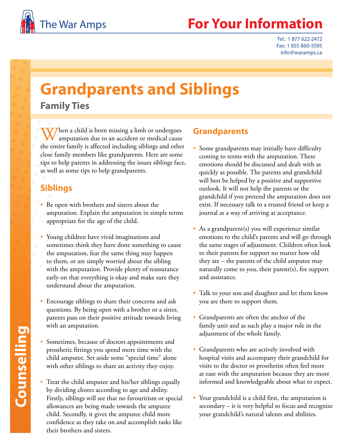

## The War Amps **For Your Information**

Tel.: 1 877 622-2472 Fax: 1 855 860-5595 info@waramps.ca

## **Grandparents and Siblings**

**Family Ties**

When a child is born missing a limb or undergoes<br>amputation due to an accident or medical cause the entire family is affected including siblings and other close family members like grandparents. Here are some tips to help parents in addressing the issues siblings face, as well as some tips to help grandparents.

## **Siblings**

- Be open with brothers and sisters about the amputation. Explain the amputation in simple terms appropriate for the age of the child.
- Young children have vivid imaginations and sometimes think they have done something to cause the amputation, fear the same thing may happen to them, or are simply worried about the sibling with the amputation. Provide plenty of reassurance early on that everything is okay and make sure they understand about the amputation.
- Encourage siblings to share their concerns and ask questions. By being open with a brother or a sister, parents pass on their positive attitude towards living with an amputation.
- Sometimes, because of doctors appointments and prosthetic fittings you spend more time with the child amputee. Set aside some "special time" alone with other siblings to share an activity they enjoy.
- Treat the child amputee and his/her siblings equally by dividing chores according to age and ability. Firstly, siblings will see that no favouritism or special allowances are being made towards the amputee child. Secondly, it gives the amputee child more confidence as they take on and accomplish tasks like their brothers and sisters.

## **Grandparents**

- Some grandparents may initially have difficulty coming to terms with the amputation. These emotions should be discussed and dealt with as quickly as possible. The parents and grandchild will best be helped by a positive and supportive outlook. It will not help the parents or the grandchild if you pretend the amputation does not exist. If necessary talk to a trusted friend or keep a journal as a way of arriving at acceptance.
- As a grandparent(s) you will experience similar emotions to the child's parents and will go through the same stages of adjustment. Children often look to their parents for support no matter how old they are – the parents of the child amputee may naturally come to you, their parent(s), for support and assistance.
- Talk to your son and daughter and let them know you are there to support them.
- Grandparents are often the anchor of the family unit and as such play a major role in the adjustment of the whole family.
- Grandparents who are actively involved with hospital visits and accompany their grandchild for visits to the doctor or prosthetist often feel more at ease with the amputation because they are more informed and knowledgeable about what to expect.
- Your grandchild is a child first, the amputation is secondary – it is very helpful to focus and recognize your grandchild's natural talents and abilities.